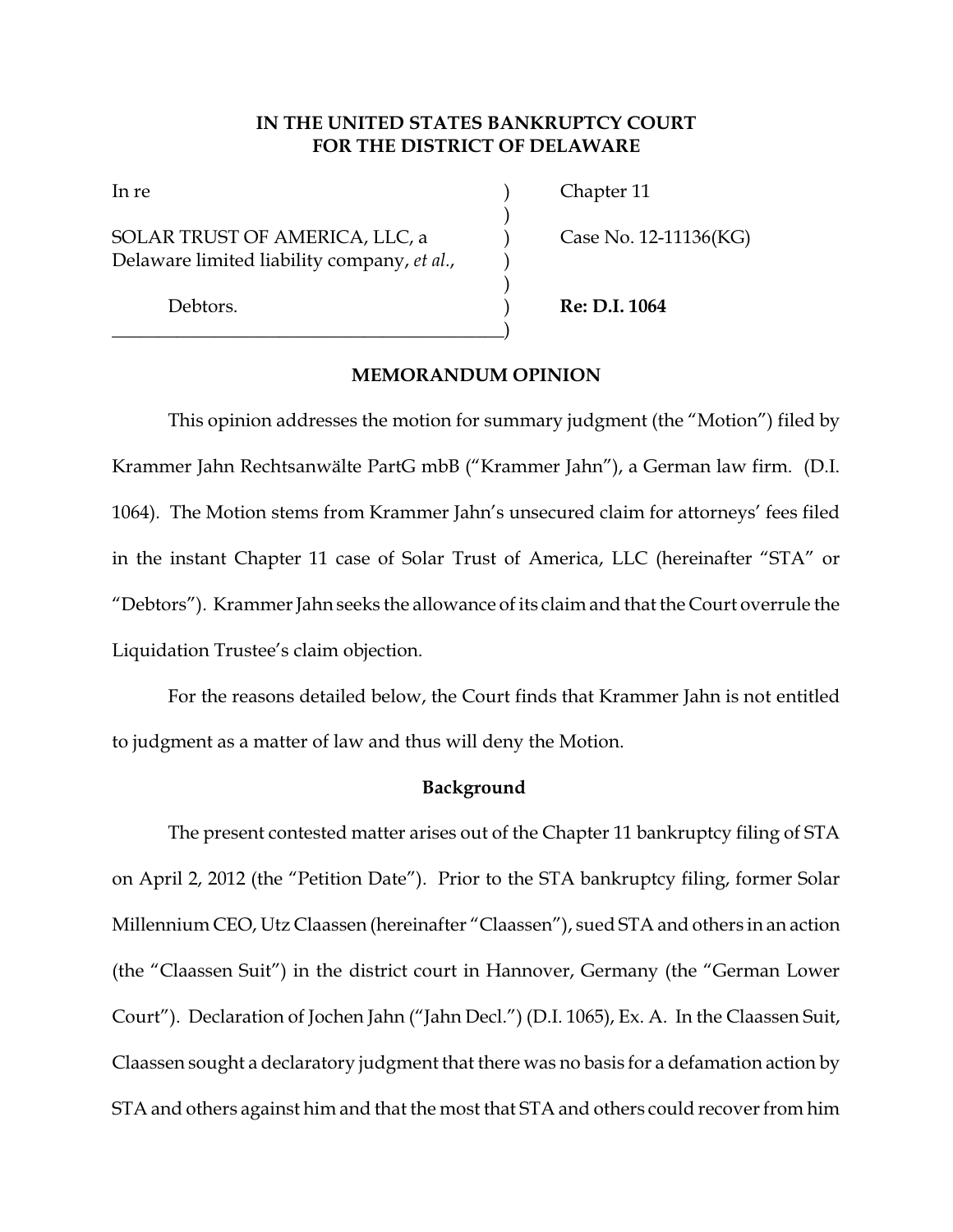# **IN THE UNITED STATES BANKRUPTCY COURT FOR THE DISTRICT OF DELAWARE**

)

)

SOLAR TRUST OF AMERICA, LLC, a  $\qquad$  ) Case No. 12-11136(KG) Delaware limited liability company, *et al.*, )

 $\hspace*{15mm}$   $\hspace*{10mm}$   $\hspace*{10mm}$   $\hspace*{10mm}$   $\hspace*{10mm}$   $\hspace*{10mm}$   $\hspace*{10mm}$   $\hspace*{10mm}$   $\hspace*{10mm}$   $\hspace*{10mm}$   $\hspace*{10mm}$   $\hspace*{10mm}$   $\hspace*{10mm}$   $\hspace*{10mm}$   $\hspace*{10mm}$   $\hspace*{10mm}$   $\hspace*{10mm}$   $\hspace*{10mm}$   $\hspace*$ 

In re **If the latter is a contract of the contract of the contract of the contract of the contract of the contract of the contract of the contract of the contract of the contract of the contract of the contract of the cont** 

Debtors. ) **Re: D.I. 1064**

# **MEMORANDUM OPINION**

This opinion addresses the motion for summary judgment (the "Motion") filed by Krammer Jahn Rechtsanwälte PartG mbB ("Krammer Jahn"), a German law firm. (D.I. 1064). The Motion stems from Krammer Jahn's unsecured claim for attorneys' fees filed in the instant Chapter 11 case of Solar Trust of America, LLC (hereinafter "STA" or "Debtors"). Krammer Jahn seeks the allowance of its claim and that the Court overrule the Liquidation Trustee's claim objection.

For the reasons detailed below, the Court finds that Krammer Jahn is not entitled to judgment as a matter of law and thus will deny the Motion.

### **Background**

The present contested matter arises out of the Chapter 11 bankruptcy filing of STA on April 2, 2012 (the "Petition Date"). Prior to the STA bankruptcy filing, former Solar Millennium CEO, Utz Claassen (hereinafter "Claassen"), sued STA and others in an action (the "Claassen Suit") in the district court in Hannover, Germany (the "German Lower Court"). Declaration of Jochen Jahn ("Jahn Decl.") (D.I. 1065), Ex. A. In the Claassen Suit, Claassen sought a declaratory judgment that there was no basis for a defamation action by STA and others against him and that the most that STA and others could recover from him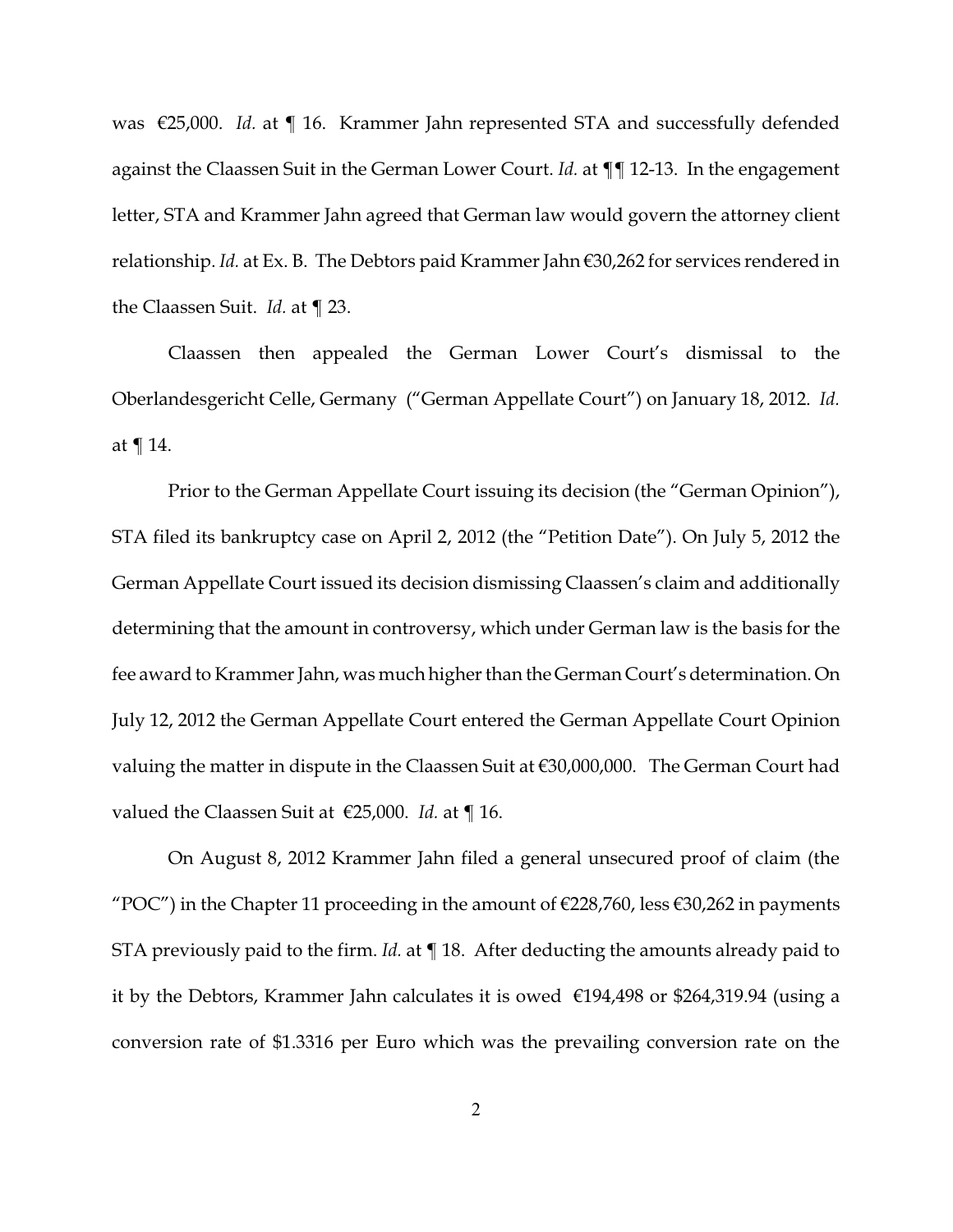was €25,000. *Id.* at ¶ 16. Krammer Jahn represented STA and successfully defended against the Claassen Suit in the German Lower Court. *Id.* at ¶¶ 12-13. In the engagement letter, STA and Krammer Jahn agreed that German law would govern the attorney client relationship. *Id.* at Ex. B. The Debtors paid Krammer Jahn €30,262 for services rendered in the Claassen Suit. *Id.* at ¶ 23.

Claassen then appealed the German Lower Court's dismissal to the Oberlandesgericht Celle, Germany ("German Appellate Court") on January 18, 2012. *Id.* at ¶ 14.

Prior to the German Appellate Court issuing its decision (the "German Opinion"), STA filed its bankruptcy case on April 2, 2012 (the "Petition Date"). On July 5, 2012 the German Appellate Court issued its decision dismissing Claassen's claim and additionally determining that the amount in controversy, which under German law is the basis for the fee award to Krammer Jahn, was much higher than the German Court's determination. On July 12, 2012 the German Appellate Court entered the German Appellate Court Opinion valuing the matter in dispute in the Claassen Suit at €30,000,000. The German Court had valued the Claassen Suit at €25,000. *Id.* at ¶ 16.

On August 8, 2012 Krammer Jahn filed a general unsecured proof of claim (the "POC") in the Chapter 11 proceeding in the amount of  $\epsilon$ 228,760, less  $\epsilon$ 30,262 in payments STA previously paid to the firm. *Id.* at ¶ 18. After deducting the amounts already paid to it by the Debtors, Krammer Jahn calculates it is owed €194,498 or \$264,319.94 (using a conversion rate of \$1.3316 per Euro which was the prevailing conversion rate on the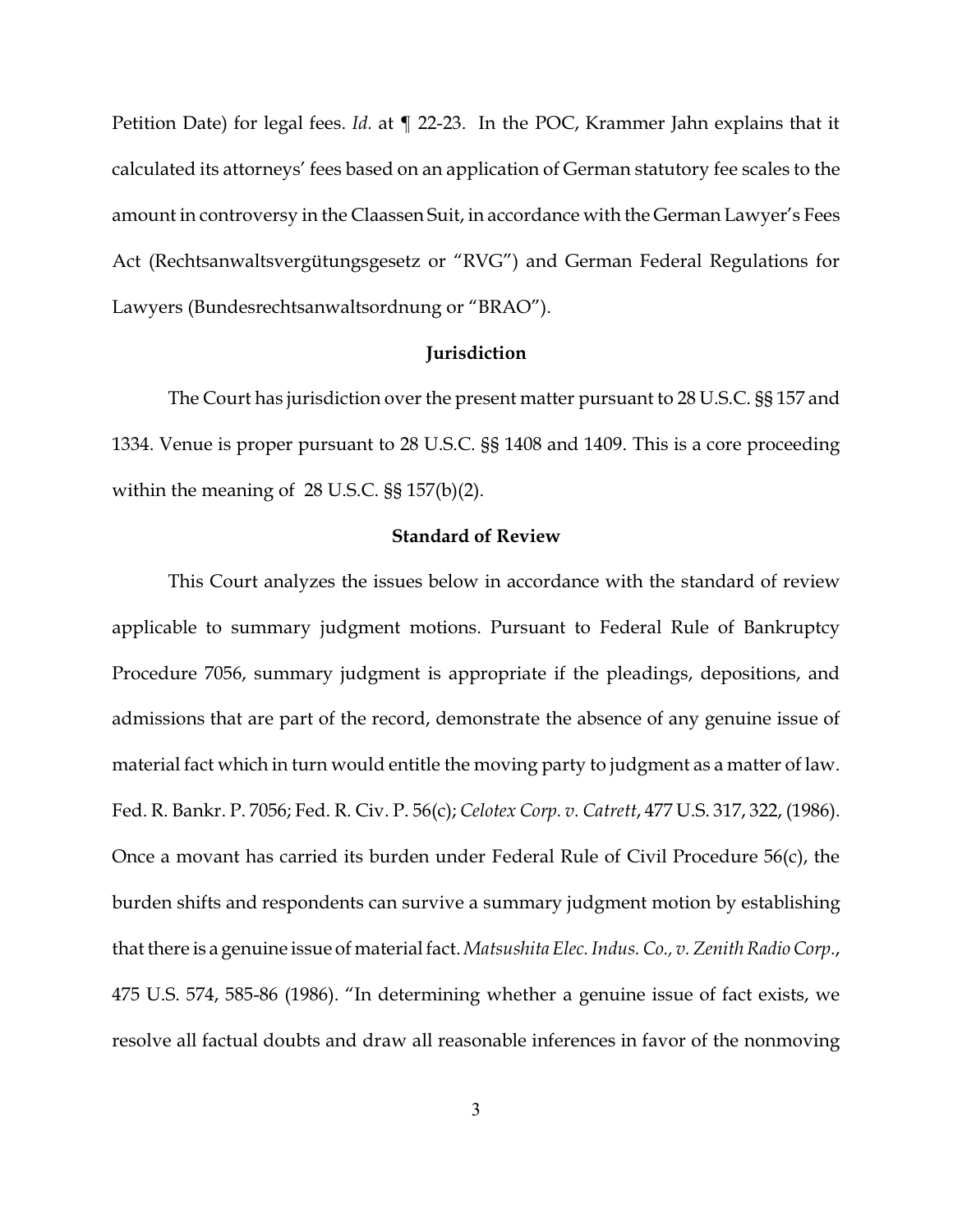Petition Date) for legal fees. *Id.* at ¶ 22-23. In the POC, Krammer Jahn explains that it calculated its attorneys' fees based on an application of German statutory fee scales to the amount in controversy in the Claassen Suit, in accordance with the German Lawyer's Fees Act (Rechtsanwaltsvergütungsgesetz or "RVG") and German Federal Regulations for Lawyers (Bundesrechtsanwaltsordnung or "BRAO").

### **Jurisdiction**

The Court has jurisdiction over the present matter pursuant to 28 U.S.C. §§ 157 and 1334. Venue is proper pursuant to 28 U.S.C. §§ 1408 and 1409. This is a core proceeding within the meaning of 28 U.S.C. §§ 157(b)(2).

## **Standard of Review**

This Court analyzes the issues below in accordance with the standard of review applicable to summary judgment motions. Pursuant to Federal Rule of Bankruptcy Procedure 7056, summary judgment is appropriate if the pleadings, depositions, and admissions that are part of the record, demonstrate the absence of any genuine issue of material fact which in turn would entitle the moving party to judgment as a matter of law. Fed. R. Bankr. P. 7056; Fed. R. Civ. P. 56(c); *Celotex Corp. v. Catrett*, 477 U.S. 317, 322, (1986). Once a movant has carried its burden under Federal Rule of Civil Procedure 56(c), the burden shifts and respondents can survive a summary judgment motion by establishing that there is a genuine issue of material fact.*Matsushita Elec. Indus. Co., v. Zenith Radio Corp.*, 475 U.S. 574, 585-86 (1986). "In determining whether a genuine issue of fact exists, we resolve all factual doubts and draw all reasonable inferences in favor of the nonmoving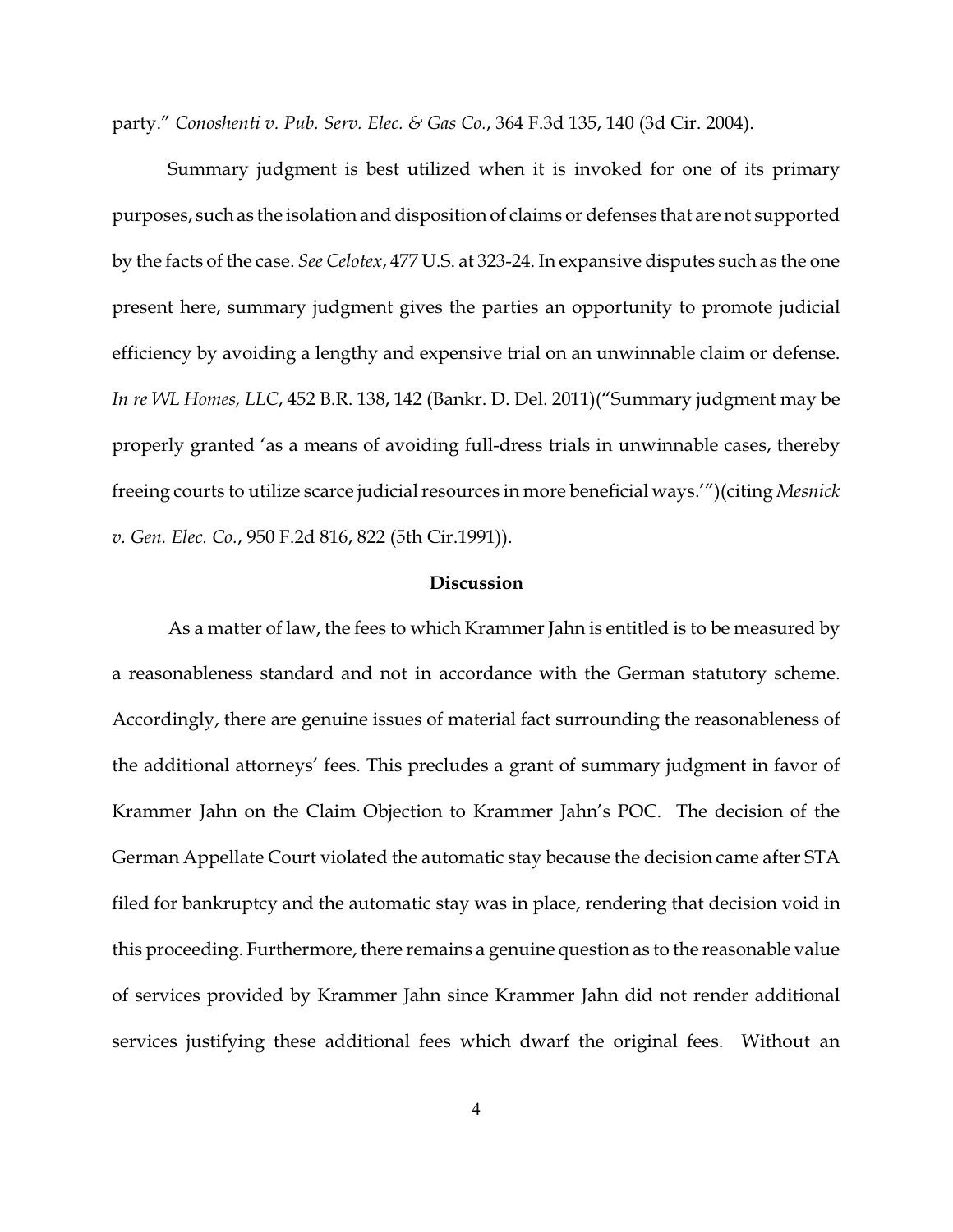party." *Conoshenti v. Pub. Serv. Elec. & Gas Co.*, 364 F.3d 135, 140 (3d Cir. 2004).

Summary judgment is best utilized when it is invoked for one of its primary purposes, such as the isolation and disposition of claims or defenses that are not supported by the facts of the case. *See Celotex*, 477 U.S. at 323-24. In expansive disputes such as the one present here, summary judgment gives the parties an opportunity to promote judicial efficiency by avoiding a lengthy and expensive trial on an unwinnable claim or defense. *In re WL Homes, LLC*, 452 B.R. 138, 142 (Bankr. D. Del. 2011)("Summary judgment may be properly granted 'as a means of avoiding full-dress trials in unwinnable cases, thereby freeing courts to utilize scarce judicial resources in more beneficial ways.'")(citing *Mesnick v. Gen. Elec. Co.*, 950 F.2d 816, 822 (5th Cir.1991)).

#### **Discussion**

As a matter of law, the fees to which Krammer Jahn is entitled is to be measured by a reasonableness standard and not in accordance with the German statutory scheme. Accordingly, there are genuine issues of material fact surrounding the reasonableness of the additional attorneys' fees. This precludes a grant of summary judgment in favor of Krammer Jahn on the Claim Objection to Krammer Jahn's POC. The decision of the German Appellate Court violated the automatic stay because the decision came after STA filed for bankruptcy and the automatic stay was in place, rendering that decision void in this proceeding. Furthermore, there remains a genuine question as to the reasonable value of services provided by Krammer Jahn since Krammer Jahn did not render additional services justifying these additional fees which dwarf the original fees. Without an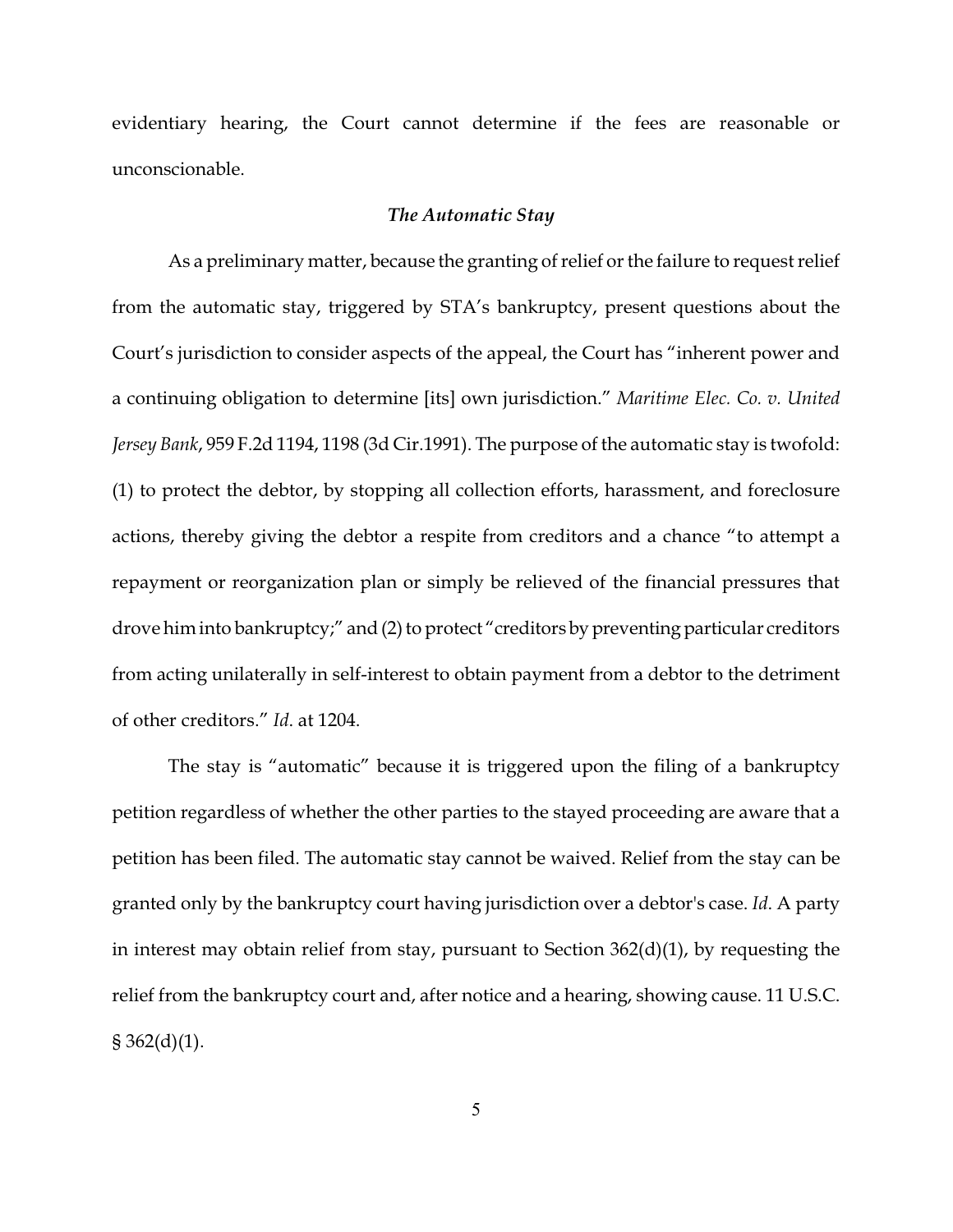evidentiary hearing, the Court cannot determine if the fees are reasonable or unconscionable.

#### *The Automatic Stay*

As a preliminary matter, because the granting of relief or the failure to request relief from the automatic stay, triggered by STA's bankruptcy, present questions about the Court's jurisdiction to consider aspects of the appeal, the Court has "inherent power and a continuing obligation to determine [its] own jurisdiction." *Maritime Elec. Co. v. United Jersey Bank*, 959 F.2d 1194, 1198 (3d Cir.1991). The purpose of the automatic stay is twofold: (1) to protect the debtor, by stopping all collection efforts, harassment, and foreclosure actions, thereby giving the debtor a respite from creditors and a chance "to attempt a repayment or reorganization plan or simply be relieved of the financial pressures that drove him into bankruptcy;" and (2) to protect "creditors by preventing particular creditors from acting unilaterally in self-interest to obtain payment from a debtor to the detriment of other creditors." *Id*. at 1204.

The stay is "automatic" because it is triggered upon the filing of a bankruptcy petition regardless of whether the other parties to the stayed proceeding are aware that a petition has been filed. The automatic stay cannot be waived. Relief from the stay can be granted only by the bankruptcy court having jurisdiction over a debtor's case. *Id*. A party in interest may obtain relief from stay, pursuant to Section 362(d)(1), by requesting the relief from the bankruptcy court and, after notice and a hearing, showing cause. 11 U.S.C.  $§ 362(d)(1).$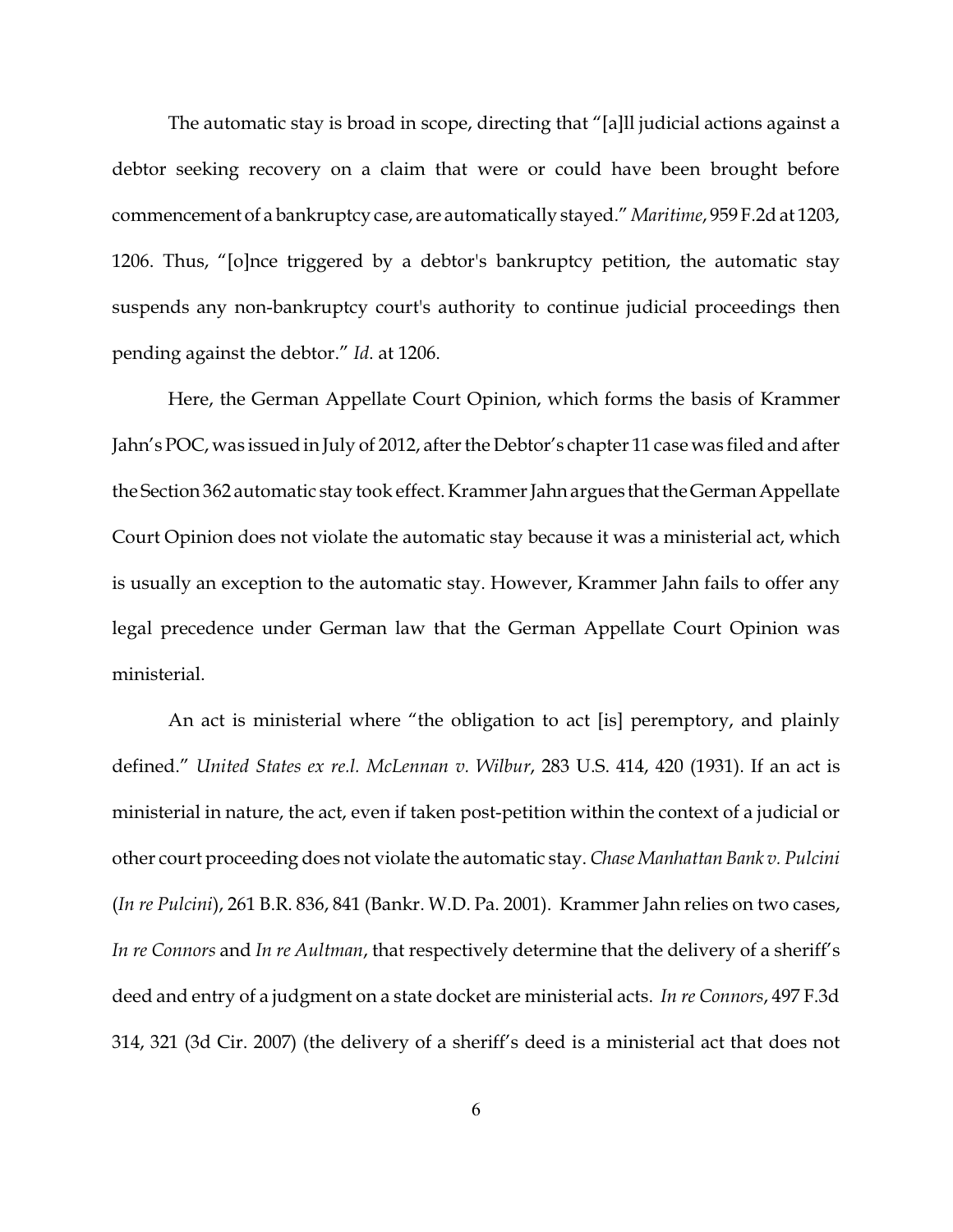The automatic stay is broad in scope, directing that "[a]ll judicial actions against a debtor seeking recovery on a claim that were or could have been brought before commencement of a bankruptcy case, are automatically stayed."*Maritime*, 959 F.2d at 1203, 1206. Thus, "[o]nce triggered by a debtor's bankruptcy petition, the automatic stay suspends any non-bankruptcy court's authority to continue judicial proceedings then pending against the debtor." *Id*. at 1206.

Here, the German Appellate Court Opinion, which forms the basis of Krammer Jahn's POC, was issued in July of 2012, after the Debtor's chapter 11 case was filed and after the Section 362 automatic stay took effect. Krammer Jahn argues that the German Appellate Court Opinion does not violate the automatic stay because it was a ministerial act, which is usually an exception to the automatic stay. However, Krammer Jahn fails to offer any legal precedence under German law that the German Appellate Court Opinion was ministerial.

An act is ministerial where "the obligation to act [is] peremptory, and plainly defined." *United States ex re.l. McLennan v. Wilbur*, 283 U.S. 414, 420 (1931). If an act is ministerial in nature, the act, even if taken post-petition within the context of a judicial or other court proceeding does not violate the automatic stay. *Chase Manhattan Bank v. Pulcini* (*In re Pulcini*), 261 B.R. 836, 841 (Bankr. W.D. Pa. 2001). Krammer Jahn relies on two cases, *In re Connors* and *In re Aultman*, that respectively determine that the delivery of a sheriff's deed and entry of a judgment on a state docket are ministerial acts. *In re Connors*, 497 F.3d 314, 321 (3d Cir. 2007) (the delivery of a sheriff's deed is a ministerial act that does not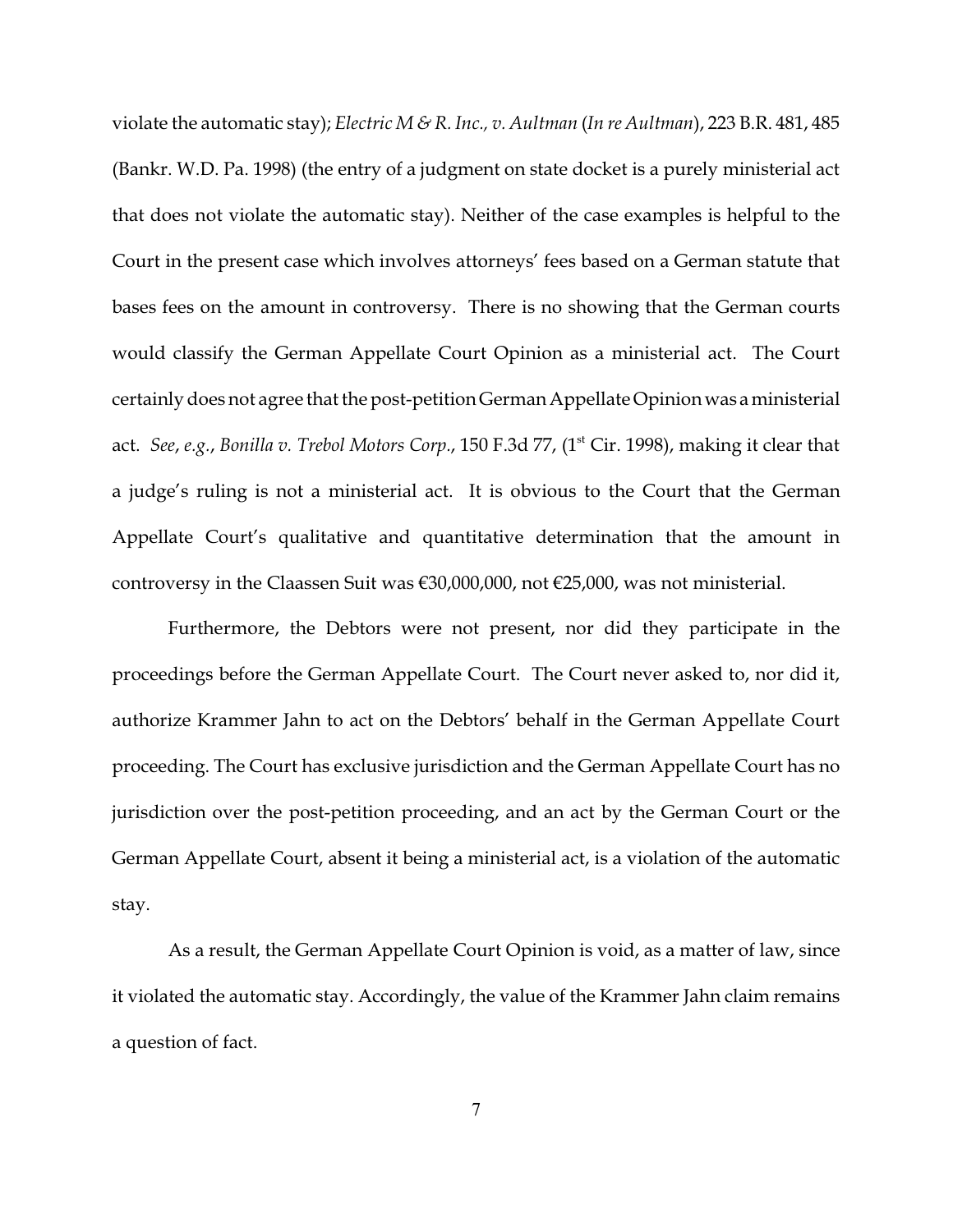violate the automatic stay); *Electric M & R. Inc., v. Aultman* (*In re Aultman*), 223 B.R. 481, 485 (Bankr. W.D. Pa. 1998) (the entry of a judgment on state docket is a purely ministerial act that does not violate the automatic stay). Neither of the case examples is helpful to the Court in the present case which involves attorneys' fees based on a German statute that bases fees on the amount in controversy. There is no showing that the German courts would classify the German Appellate Court Opinion as a ministerial act. The Court certainly does not agree that the post-petition German Appellate Opinion was aministerial act. *See*, *e.g.*, *Bonilla v. Trebol Motors Corp.*, 150 F.3d 77, (1st Cir. 1998), making it clear that a judge's ruling is not a ministerial act. It is obvious to the Court that the German Appellate Court's qualitative and quantitative determination that the amount in controversy in the Claassen Suit was €30,000,000, not €25,000, was not ministerial.

Furthermore, the Debtors were not present, nor did they participate in the proceedings before the German Appellate Court. The Court never asked to, nor did it, authorize Krammer Jahn to act on the Debtors' behalf in the German Appellate Court proceeding. The Court has exclusive jurisdiction and the German Appellate Court has no jurisdiction over the post-petition proceeding, and an act by the German Court or the German Appellate Court, absent it being a ministerial act, is a violation of the automatic stay.

As a result, the German Appellate Court Opinion is void, as a matter of law, since it violated the automatic stay. Accordingly, the value of the Krammer Jahn claim remains a question of fact.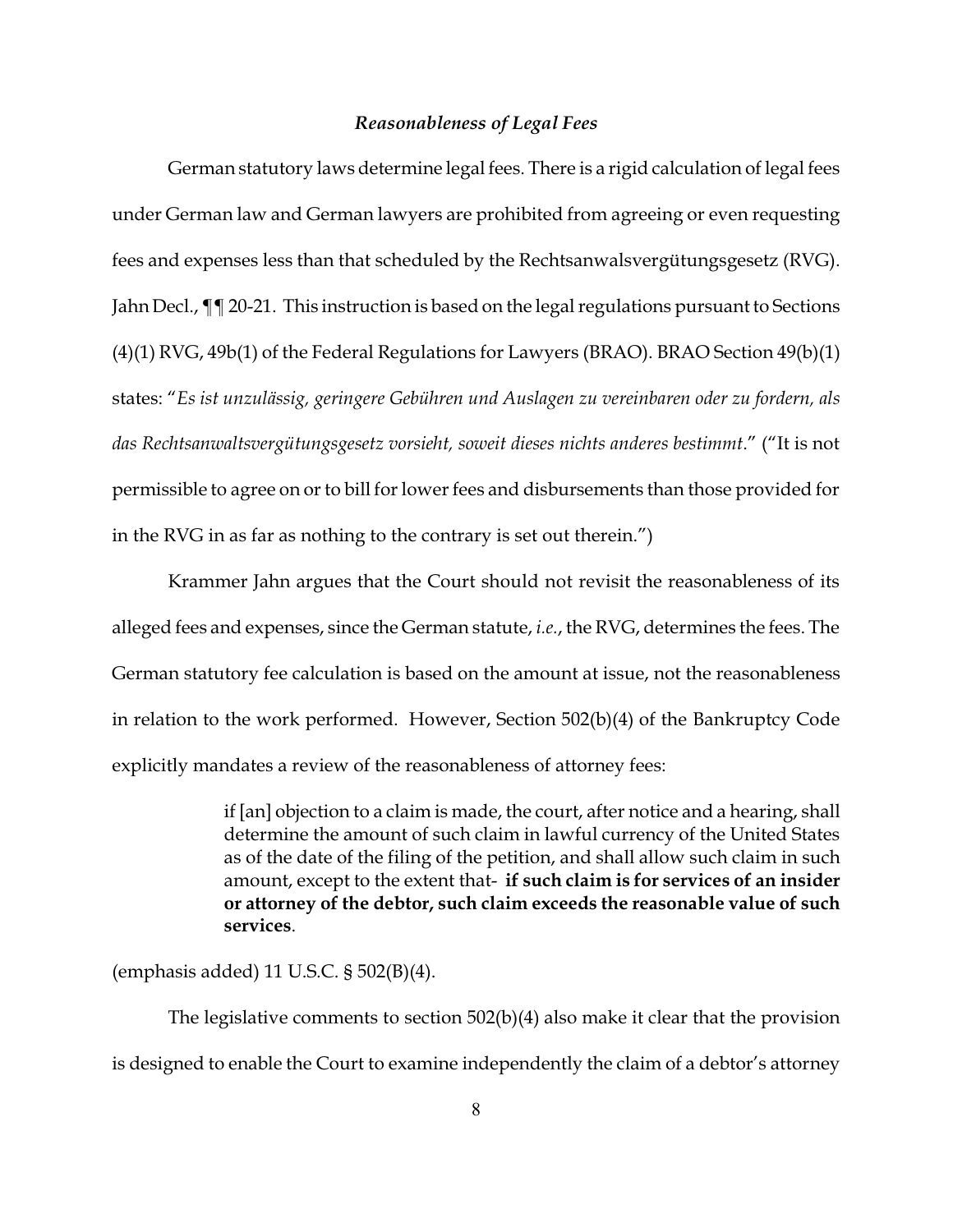#### *Reasonableness of Legal Fees*

German statutory laws determine legal fees. There is a rigid calculation of legal fees under German law and German lawyers are prohibited from agreeing or even requesting fees and expenses less than that scheduled by the Rechtsanwalsvergütungsgesetz (RVG). Jahn Decl.,  $\P$  20-21. This instruction is based on the legal regulations pursuant to Sections (4)(1) RVG, 49b(1) of the Federal Regulations for Lawyers (BRAO). BRAO Section 49(b)(1) states: "*Es ist unzulässig, geringere Gebühren und Auslagen zu vereinbaren oder zu fordern, als das Rechtsanwaltsvergütungsgesetz vorsieht, soweit dieses nichts anderes bestimmt*." ("It is not permissible to agree on or to bill for lower fees and disbursements than those provided for in the RVG in as far as nothing to the contrary is set out therein.")

Krammer Jahn argues that the Court should not revisit the reasonableness of its alleged fees and expenses, since the German statute, *i.e.*, the RVG, determines the fees. The German statutory fee calculation is based on the amount at issue, not the reasonableness in relation to the work performed. However, Section 502(b)(4) of the Bankruptcy Code explicitly mandates a review of the reasonableness of attorney fees:

> if [an] objection to a claim is made, the court, after notice and a hearing, shall determine the amount of such claim in lawful currency of the United States as of the date of the filing of the petition, and shall allow such claim in such amount, except to the extent that- **if such claim is for services of an insider or attorney of the debtor, such claim exceeds the reasonable value of such services**.

(emphasis added) 11 U.S.C. § 502(B)(4).

The legislative comments to section 502(b)(4) also make it clear that the provision is designed to enable the Court to examine independently the claim of a debtor's attorney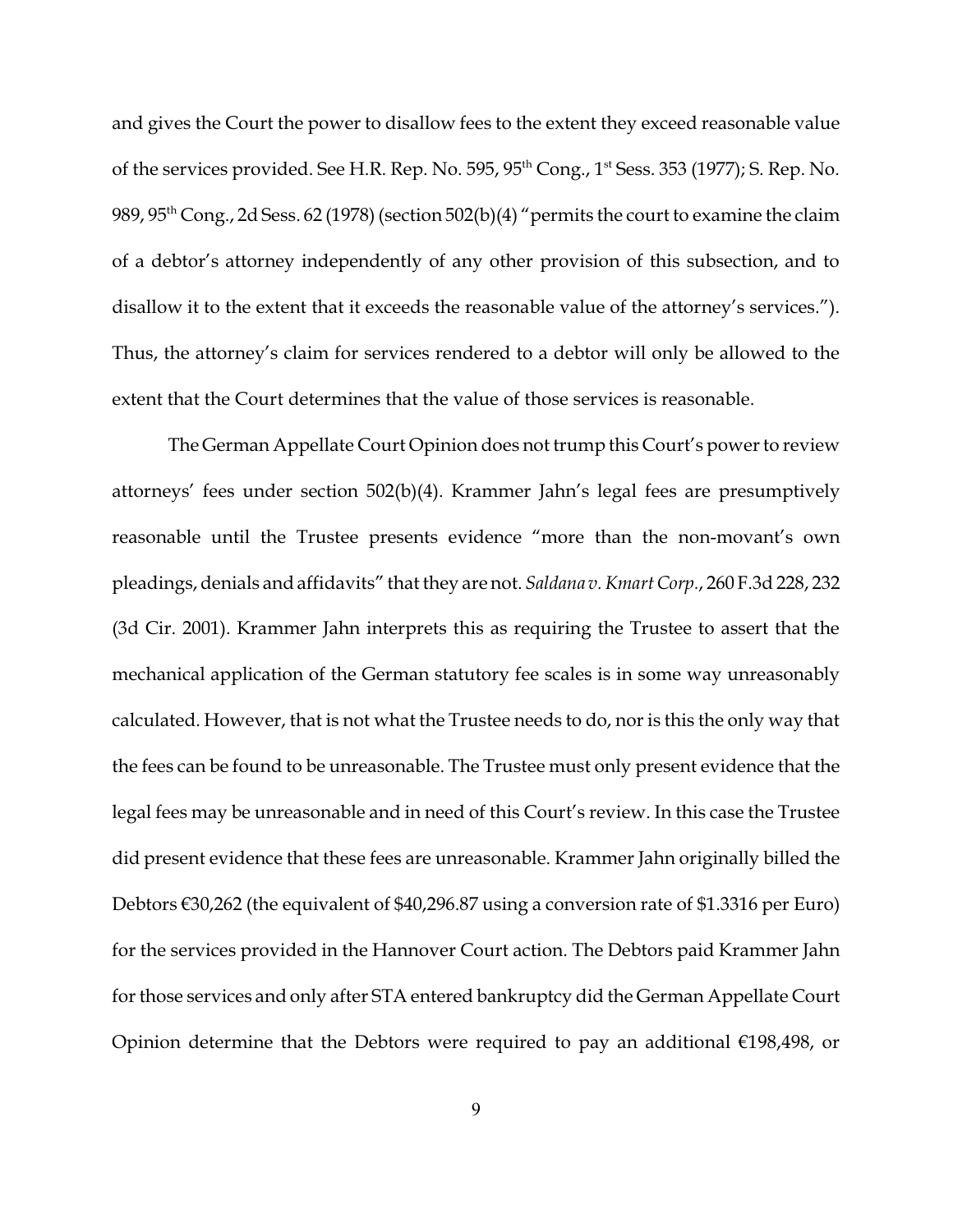and gives the Court the power to disallow fees to the extent they exceed reasonable value of the services provided. See H.R. Rep. No. 595, 95<sup>th</sup> Cong., 1<sup>st</sup> Sess. 353 (1977); S. Rep. No. 989,  $95<sup>th</sup> Cong., 2d Sess. 62 (1978)$  (section 502(b)(4) "permits the court to examine the claim of a debtor's attorney independently of any other provision of this subsection, and to disallow it to the extent that it exceeds the reasonable value of the attorney's services."). Thus, the attorney's claim for services rendered to a debtor will only be allowed to the extent that the Court determines that the value of those services is reasonable.

The German Appellate Court Opinion does not trump this Court's power to review attorneys' fees under section 502(b)(4). Krammer Jahn's legal fees are presumptively reasonable until the Trustee presents evidence "more than the non-movant's own pleadings, denials and affidavits" that they are not. *Saldana v. Kmart Corp.*, 260 F.3d 228, 232 (3d Cir. 2001). Krammer Jahn interprets this as requiring the Trustee to assert that the mechanical application of the German statutory fee scales is in some way unreasonably calculated. However, that is not what the Trustee needs to do, nor is this the only way that the fees can be found to be unreasonable. The Trustee must only present evidence that the legal fees may be unreasonable and in need of this Court's review. In this case the Trustee did present evidence that these fees are unreasonable. Krammer Jahn originally billed the Debtors €30,262 (the equivalent of \$40,296.87 using a conversion rate of \$1.3316 per Euro) for the services provided in the Hannover Court action. The Debtors paid Krammer Jahn for those services and only after STA entered bankruptcy did the German Appellate Court Opinion determine that the Debtors were required to pay an additional  $\epsilon$ 198,498, or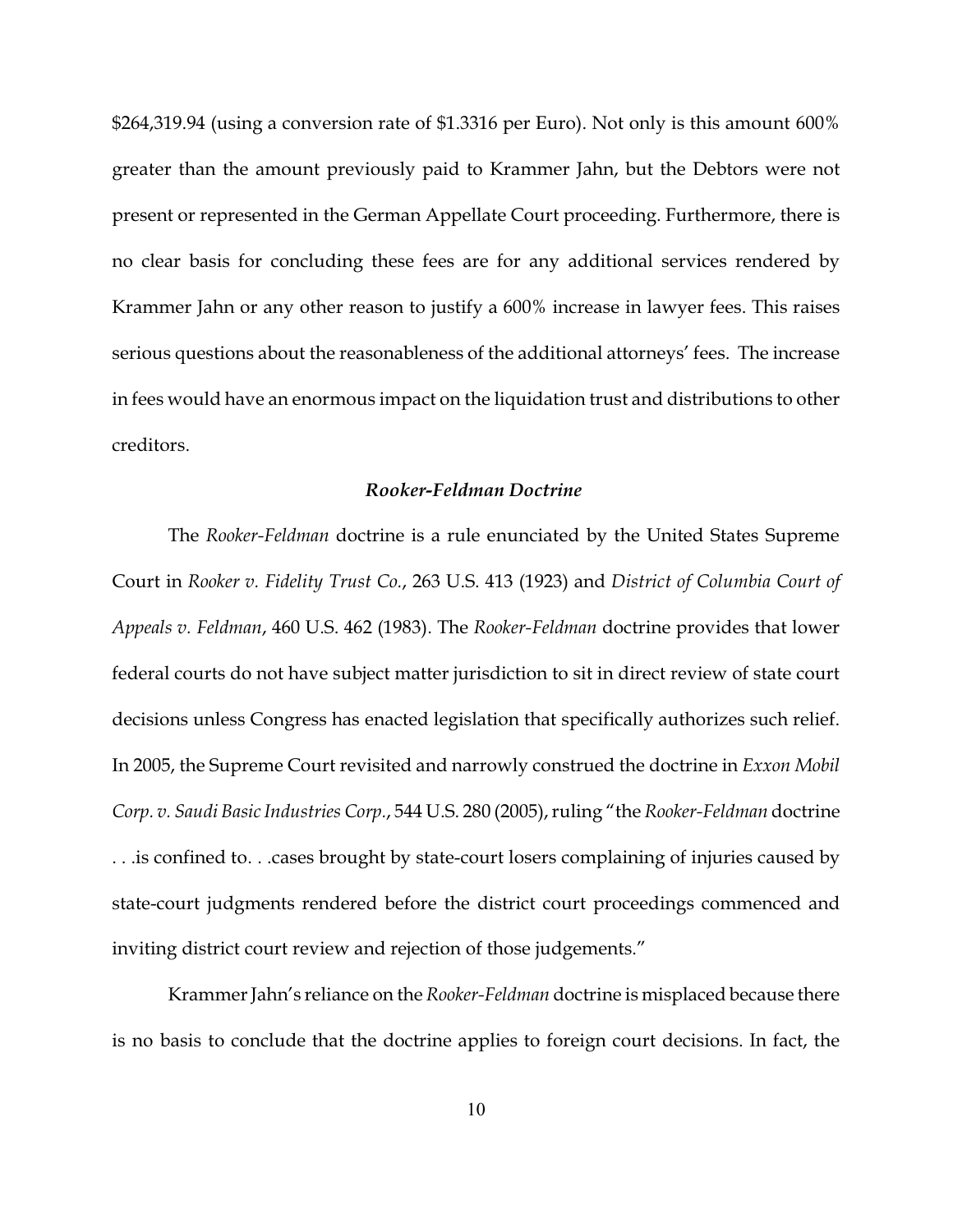\$264,319.94 (using a conversion rate of \$1.3316 per Euro). Not only is this amount 600% greater than the amount previously paid to Krammer Jahn, but the Debtors were not present or represented in the German Appellate Court proceeding. Furthermore, there is no clear basis for concluding these fees are for any additional services rendered by Krammer Jahn or any other reason to justify a 600% increase in lawyer fees. This raises serious questions about the reasonableness of the additional attorneys' fees. The increase in fees would have an enormous impact on the liquidation trust and distributions to other creditors.

## *Rooker-Feldman Doctrine*

The *Rooker-Feldman* doctrine is a rule enunciated by the United States Supreme Court in *Rooker v. Fidelity Trust Co.*, 263 U.S. 413 (1923) and *District of Columbia Court of Appeals v. Feldman*, 460 U.S. 462 (1983). The *Rooker-Feldman* doctrine provides that lower federal courts do not have subject matter jurisdiction to sit in direct review of state court decisions unless Congress has enacted legislation that specifically authorizes such relief. In 2005, the Supreme Court revisited and narrowly construed the doctrine in *Exxon Mobil Corp. v. Saudi Basic Industries Corp.*, 544 U.S. 280 (2005), ruling "the *Rooker-Feldman* doctrine . . .is confined to. . .cases brought by state-court losers complaining of injuries caused by state-court judgments rendered before the district court proceedings commenced and inviting district court review and rejection of those judgements."

Krammer Jahn's reliance on the *Rooker-Feldman* doctrine is misplaced because there is no basis to conclude that the doctrine applies to foreign court decisions. In fact, the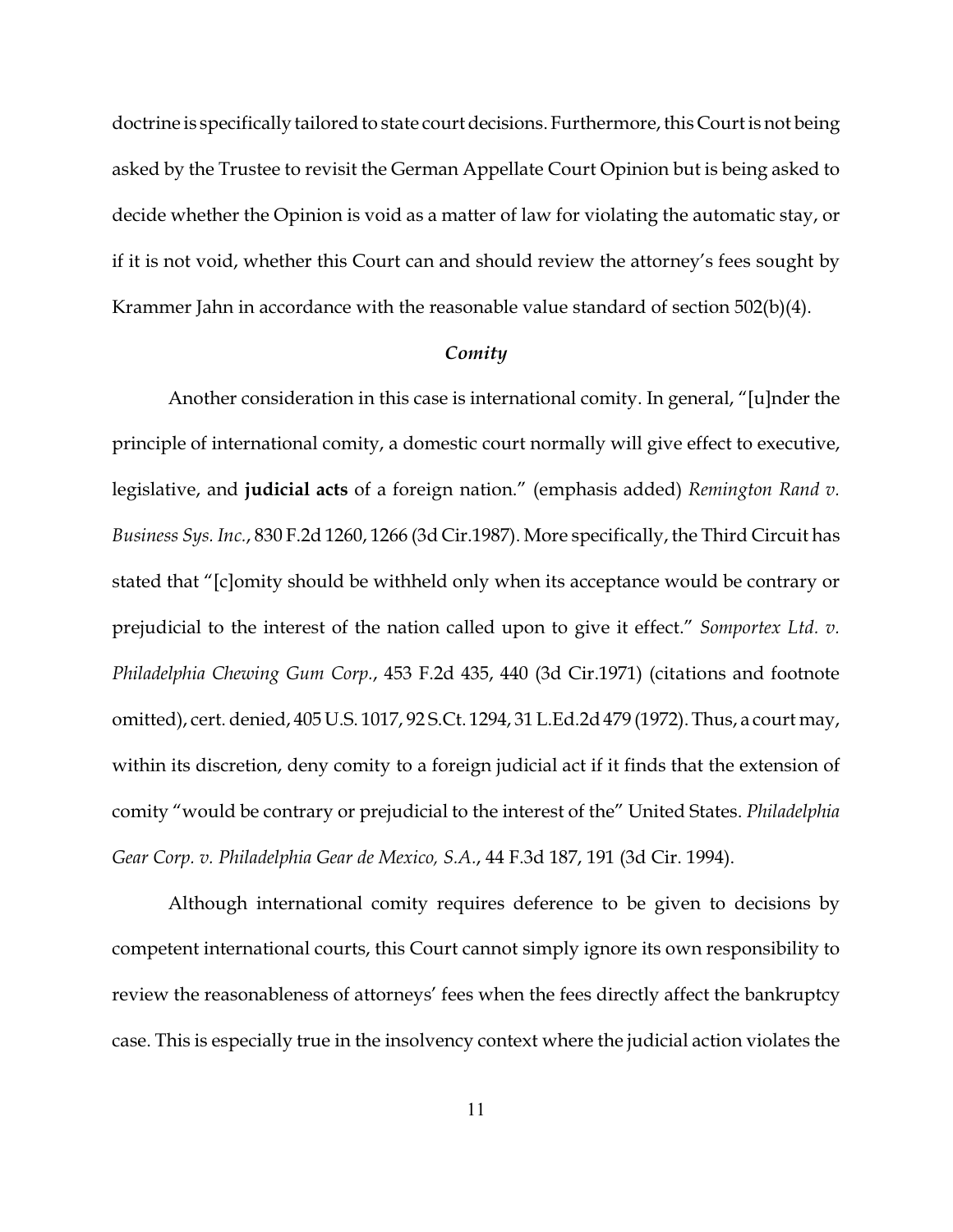doctrine is specifically tailored to state court decisions. Furthermore, this Court is not being asked by the Trustee to revisit the German Appellate Court Opinion but is being asked to decide whether the Opinion is void as a matter of law for violating the automatic stay, or if it is not void, whether this Court can and should review the attorney's fees sought by Krammer Jahn in accordance with the reasonable value standard of section 502(b)(4).

### *Comity*

Another consideration in this case is international comity. In general, "[u]nder the principle of international comity, a domestic court normally will give effect to executive, legislative, and **judicial acts** of a foreign nation." (emphasis added) *Remington Rand v. Business Sys. Inc.*, 830 F.2d 1260, 1266 (3d Cir.1987). More specifically, the Third Circuit has stated that "[c]omity should be withheld only when its acceptance would be contrary or prejudicial to the interest of the nation called upon to give it effect." *Somportex Ltd. v. Philadelphia Chewing Gum Corp.*, 453 F.2d 435, 440 (3d Cir.1971) (citations and footnote omitted), cert. denied, 405 U.S. 1017, 92 S.Ct. 1294, 31 L.Ed.2d 479 (1972). Thus, a court may, within its discretion, deny comity to a foreign judicial act if it finds that the extension of comity "would be contrary or prejudicial to the interest of the" United States. *Philadelphia Gear Corp. v. Philadelphia Gear de Mexico, S.A.*, 44 F.3d 187, 191 (3d Cir. 1994).

Although international comity requires deference to be given to decisions by competent international courts, this Court cannot simply ignore its own responsibility to review the reasonableness of attorneys' fees when the fees directly affect the bankruptcy case. This is especially true in the insolvency context where the judicial action violates the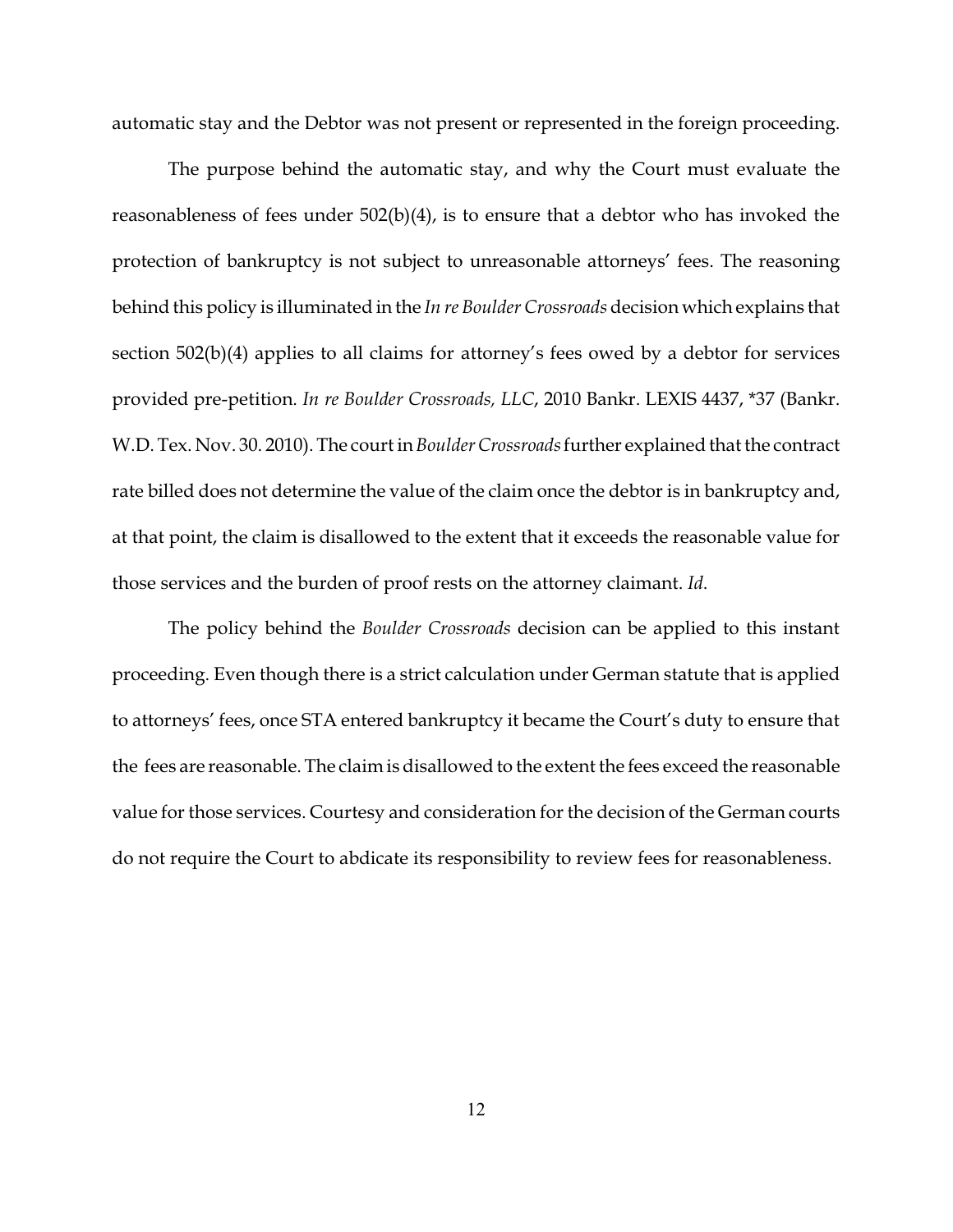automatic stay and the Debtor was not present or represented in the foreign proceeding.

The purpose behind the automatic stay, and why the Court must evaluate the reasonableness of fees under 502(b)(4), is to ensure that a debtor who has invoked the protection of bankruptcy is not subject to unreasonable attorneys' fees. The reasoning behind this policy is illuminated in the *In re Boulder Crossroads* decision which explains that section 502(b)(4) applies to all claims for attorney's fees owed by a debtor for services provided pre-petition. *In re Boulder Crossroads, LLC*, 2010 Bankr. LEXIS 4437, \*37 (Bankr. W.D. Tex. Nov. 30. 2010). The court in *Boulder Crossroads* further explained that the contract rate billed does not determine the value of the claim once the debtor is in bankruptcy and, at that point, the claim is disallowed to the extent that it exceeds the reasonable value for those services and the burden of proof rests on the attorney claimant. *Id*.

The policy behind the *Boulder Crossroads* decision can be applied to this instant proceeding. Even though there is a strict calculation under German statute that is applied to attorneys' fees, once STA entered bankruptcy it became the Court's duty to ensure that the fees are reasonable. The claim is disallowed to the extent the fees exceed the reasonable value for those services. Courtesy and consideration forthe decision of the German courts do not require the Court to abdicate its responsibility to review fees for reasonableness.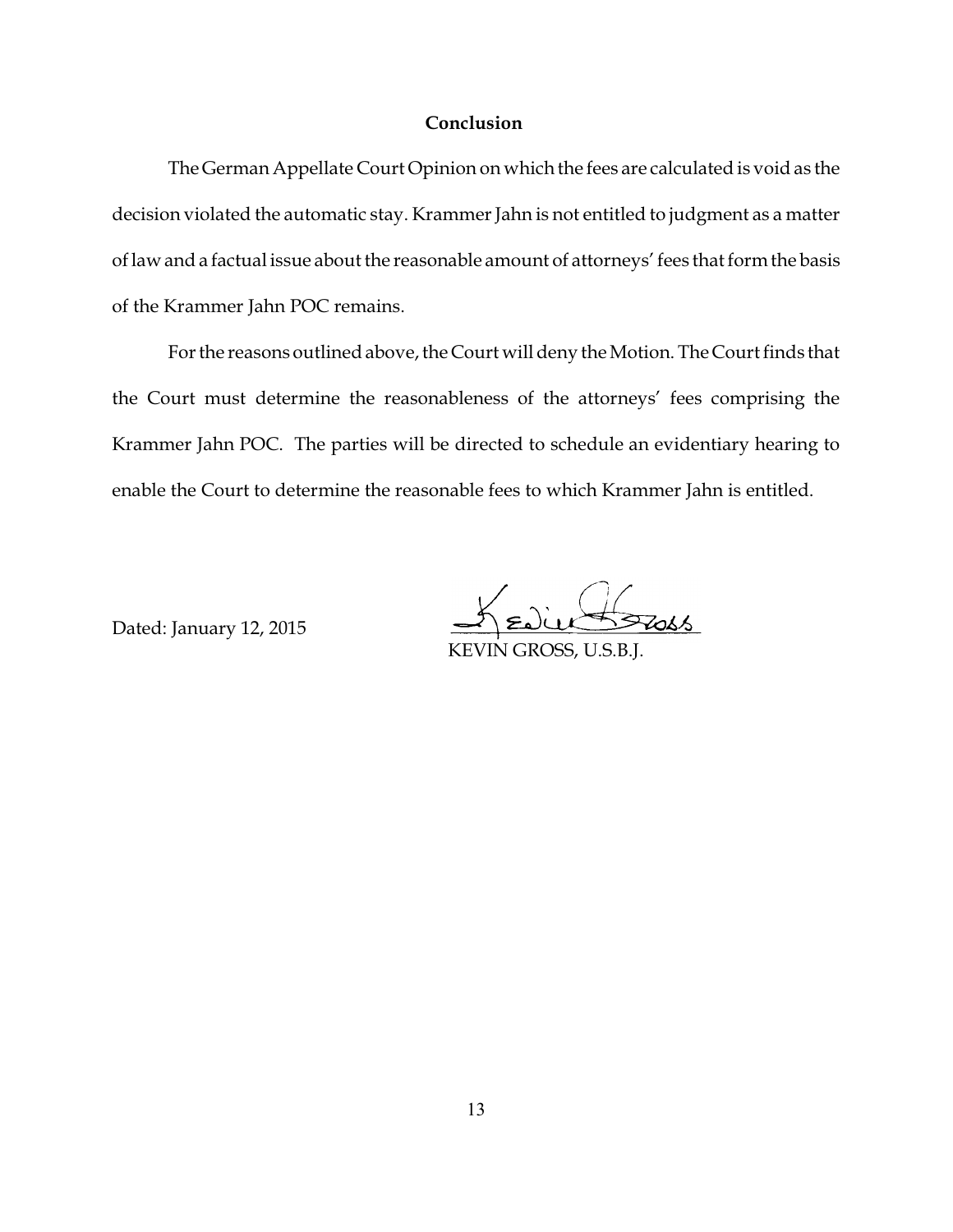## **Conclusion**

The German Appellate Court Opinion on which the fees are calculated is void as the decision violated the automatic stay. Krammer Jahn is not entitled to judgment as a matter of law and a factual issue about the reasonable amount of attorneys' fees that form the basis of the Krammer Jahn POC remains.

Forthe reasons outlined above, the Court will deny the Motion. The Court finds that the Court must determine the reasonableness of the attorneys' fees comprising the Krammer Jahn POC. The parties will be directed to schedule an evidentiary hearing to enable the Court to determine the reasonable fees to which Krammer Jahn is entitled.

Dated: January 12, 2015

Edie Stass KEVIN GROSS, U.S.B.J.